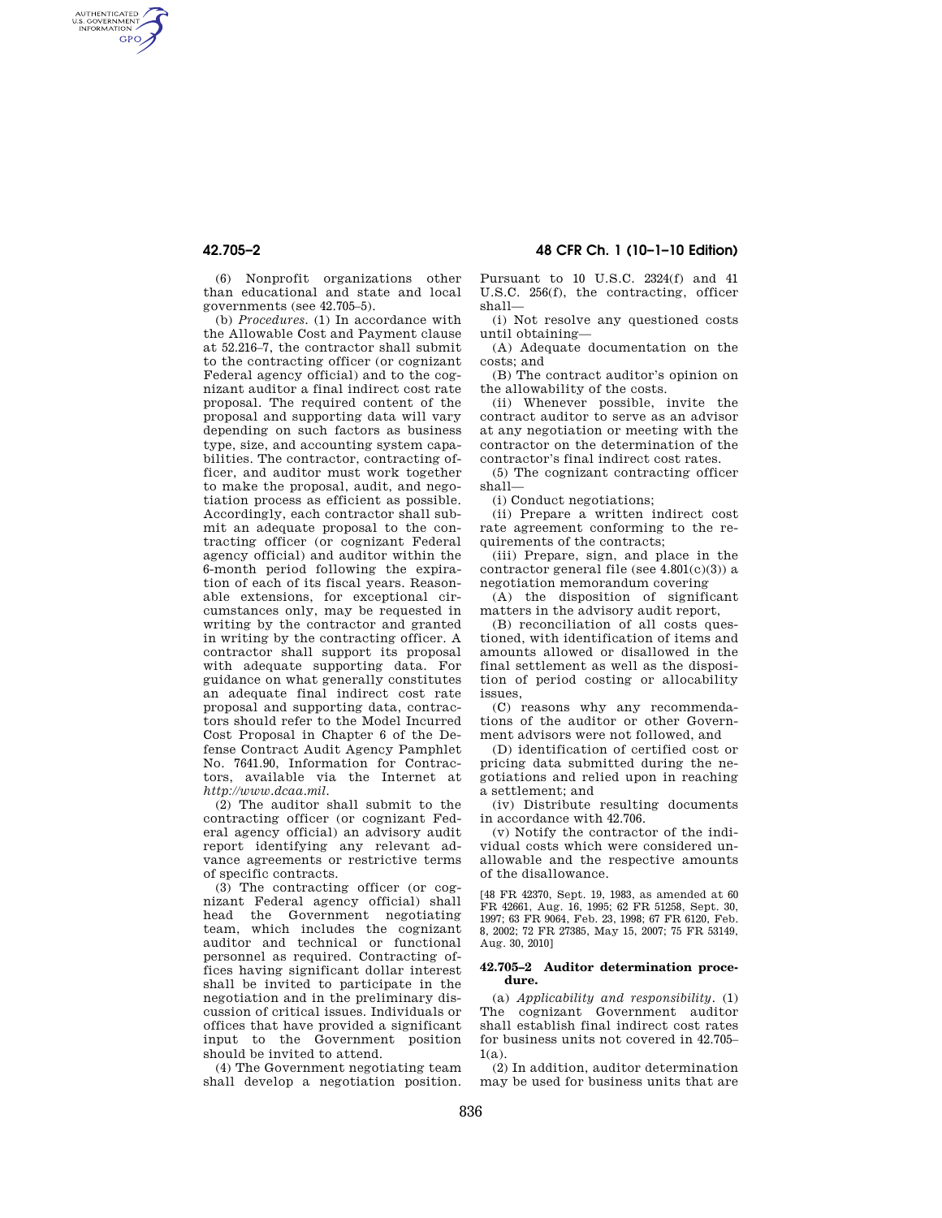AUTHENTICATED<br>U.S. GOVERNMENT<br>INFORMATION **GPO** 

> (6) Nonprofit organizations other than educational and state and local governments (see 42.705–5).

> (b) *Procedures.* (1) In accordance with the Allowable Cost and Payment clause at 52.216–7, the contractor shall submit to the contracting officer (or cognizant Federal agency official) and to the cognizant auditor a final indirect cost rate proposal. The required content of the proposal and supporting data will vary depending on such factors as business type, size, and accounting system capabilities. The contractor, contracting officer, and auditor must work together to make the proposal, audit, and negotiation process as efficient as possible. Accordingly, each contractor shall submit an adequate proposal to the contracting officer (or cognizant Federal agency official) and auditor within the 6-month period following the expiration of each of its fiscal years. Reasonable extensions, for exceptional circumstances only, may be requested in writing by the contractor and granted in writing by the contracting officer. A contractor shall support its proposal with adequate supporting data. For guidance on what generally constitutes an adequate final indirect cost rate proposal and supporting data, contractors should refer to the Model Incurred Cost Proposal in Chapter 6 of the Defense Contract Audit Agency Pamphlet No. 7641.90, Information for Contractors, available via the Internet at *http://www.dcaa.mil.*

> (2) The auditor shall submit to the contracting officer (or cognizant Federal agency official) an advisory audit report identifying any relevant advance agreements or restrictive terms of specific contracts.

> (3) The contracting officer (or cognizant Federal agency official) shall head the Government negotiating team, which includes the cognizant auditor and technical or functional personnel as required. Contracting offices having significant dollar interest shall be invited to participate in the negotiation and in the preliminary discussion of critical issues. Individuals or offices that have provided a significant input to the Government position should be invited to attend.

(4) The Government negotiating team shall develop a negotiation position.

# **42.705–2 48 CFR Ch. 1 (10–1–10 Edition)**

Pursuant to 10 U.S.C. 2324(f) and 41 U.S.C. 256(f), the contracting, officer shall—

(i) Not resolve any questioned costs until obtaining—

(A) Adequate documentation on the costs; and

(B) The contract auditor's opinion on the allowability of the costs.

(ii) Whenever possible, invite the contract auditor to serve as an advisor at any negotiation or meeting with the contractor on the determination of the contractor's final indirect cost rates.

(5) The cognizant contracting officer shall—

(i) Conduct negotiations;

(ii) Prepare a written indirect cost rate agreement conforming to the requirements of the contracts;

(iii) Prepare, sign, and place in the contractor general file (see 4.801(c)(3)) a negotiation memorandum covering

(A) the disposition of significant matters in the advisory audit report,

(B) reconciliation of all costs questioned, with identification of items and amounts allowed or disallowed in the final settlement as well as the disposition of period costing or allocability issues,

(C) reasons why any recommendations of the auditor or other Government advisors were not followed, and

(D) identification of certified cost or pricing data submitted during the negotiations and relied upon in reaching a settlement; and

(iv) Distribute resulting documents in accordance with 42.706.

(v) Notify the contractor of the individual costs which were considered unallowable and the respective amounts of the disallowance.

[48 FR 42370, Sept. 19, 1983, as amended at 60 FR 42661, Aug. 16, 1995; 62 FR 51258, Sept. 30, 1997; 63 FR 9064, Feb. 23, 1998; 67 FR 6120, Feb. 8, 2002; 72 FR 27385, May 15, 2007; 75 FR 53149, Aug. 30, 2010]

### **42.705–2 Auditor determination procedure.**

(a) *Applicability and responsibility.* (1) The cognizant Government auditor shall establish final indirect cost rates for business units not covered in 42.705–  $1(a)$ .

(2) In addition, auditor determination may be used for business units that are